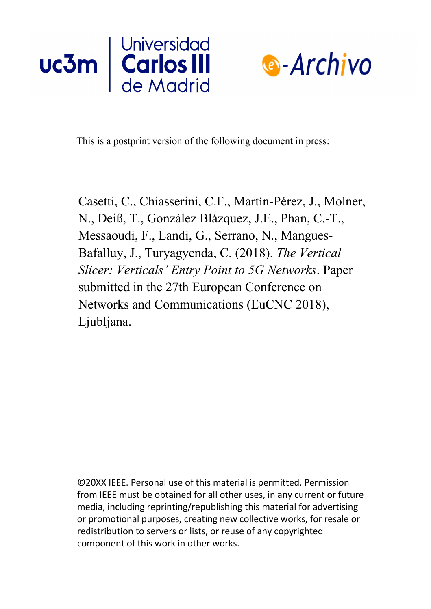



This is a postprint version of the following document in press:

Casetti, C., Chiasserini, C.F., Martín-Pérez, J., Molner, N., Deiß, T., González Blázquez, J.E., Phan, C.-T., Messaoudi, F., Landi, G., Serrano, N., Mangues-Bafalluy, J., Turyagyenda, C. (2018). *The Vertical Slicer: Verticals' Entry Point to 5G Networks*. Paper submitted in the 27th European Conference on Networks and Communications (EuCNC 2018), Ljubljana.

©20XX IEEE. Personal use of this material is permitted. Permission from IEEE must be obtained for all other uses, in any current or future media, including reprinting/republishing this material for advertising or promotional purposes, creating new collective works, for resale or redistribution to servers or lists, or reuse of any copyrighted component of this work in other works.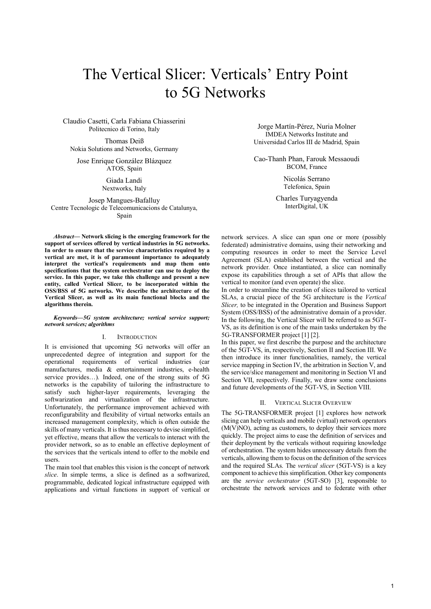# The Vertical Slicer: Verticals' Entry Point to 5G Networks

Claudio Casetti, Carla Fabiana Chiasserini Politecnico di Torino, Italy

Thomas Deiß Nokia Solutions and Networks, Germany

Jose Enrique González Blázquez ATOS, Spain

> Giada Landi Nextworks, Italy

Josep Mangues-Bafalluy Centre Tecnologic de Telecomunicacions de Catalunya, Spain

Abstract— Network slicing is the emerging framework for the support of services offered by vertical industries in 5G networks. In order to ensure that the service characteristics required by a vertical are met, it is of paramount importance to adequately interpret the vertical's requirements and map them onto specifications that the system orchestrator can use to deploy the service. In this paper, we take this challenge and present a new entity, called Vertical Slicer, to be incorporated within the OSS/BSS of 5G networks. We describe the architecture of the Vertical Slicer, as well as its main functional blocks and the algorithms therein.

#### Keywords—5G system architecture; vertical service support; network services; algorithms

# I. INTRODUCTION

It is envisioned that upcoming 5G networks will offer an unprecedented degree of integration and support for the operational requirements of vertical industries (car manufactures, media & entertainment industries, e-health service provides…). Indeed, one of the strong suits of 5G networks is the capability of tailoring the infrastructure to satisfy such higher-layer requirements, leveraging the softwarization and virtualization of the infrastructure. Unfortunately, the performance improvement achieved with reconfigurability and flexibility of virtual networks entails an increased management complexity, which is often outside the skills of many verticals. It is thus necessary to devise simplified, yet effective, means that allow the verticals to interact with the provider network, so as to enable an effective deployment of the services that the verticals intend to offer to the mobile end users.

The main tool that enables this vision is the concept of network slice. In simple terms, a slice is defined as a softwarized, programmable, dedicated logical infrastructure equipped with applications and virtual functions in support of vertical or

Jorge Martín-Pérez, Nuria Molner IMDEA Networks Institute and Universidad Carlos III de Madrid, Spain

Cao-Thanh Phan, Farouk Messaoudi BCOM, France

> Nicolás Serrano Telefonica, Spain

Charles Turyagyenda InterDigital, UK

network services. A slice can span one or more (possibly federated) administrative domains, using their networking and computing resources in order to meet the Service Level Agreement (SLA) established between the vertical and the network provider. Once instantiated, a slice can nominally expose its capabilities through a set of APIs that allow the vertical to monitor (and even operate) the slice.

In order to streamline the creation of slices tailored to vertical SLAs, a crucial piece of the 5G architecture is the Vertical Slicer, to be integrated in the Operation and Business Support System (OSS/BSS) of the administrative domain of a provider. In the following, the Vertical Slicer will be referred to as 5GT-VS, as its definition is one of the main tasks undertaken by the 5G-TRANSFORMER project [1] [2].

In this paper, we first describe the purpose and the architecture of the 5GT-VS, in, respectively, Section II and Section III. We then introduce its inner functionalities, namely, the vertical service mapping in Section IV, the arbitration in Section V, and the service/slice management and monitoring in Section VI and Section VII, respectively. Finally, we draw some conclusions and future developments of the 5GT-VS, in Section VIII.

### II. VERTICAL SLICER OVERVIEW

The 5G-TRANSFORMER project [1] explores how network slicing can help verticals and mobile (virtual) network operators (M(V)NO), acting as customers, to deploy their services more quickly. The project aims to ease the definition of services and their deployment by the verticals without requiring knowledge of orchestration. The system hides unnecessary details from the verticals, allowing them to focus on the definition of the services and the required SLAs. The vertical slicer (5GT-VS) is a key component to achieve this simplification. Other key components are the service orchestrator (5GT-SO) [3], responsible to orchestrate the network services and to federate with other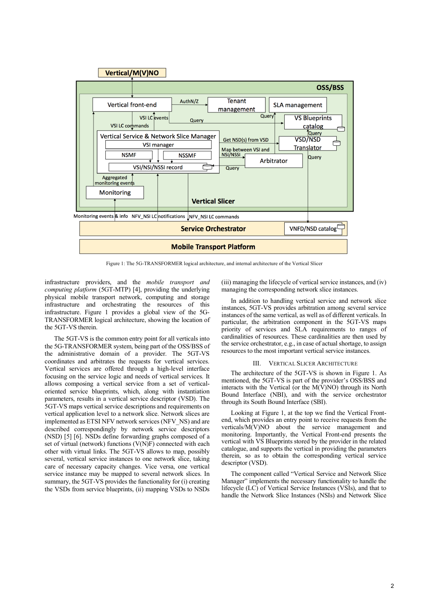

Figure 1: The 5G-TRANSFORMER logical architecture, and internal architecture of the Vertical Slicer

infrastructure providers, and the mobile transport and computing platform (5GT-MTP) [4], providing the underlying physical mobile transport network, computing and storage infrastructure and orchestrating the resources of this infrastructure. Figure 1 provides a global view of the 5G-TRANSFORMER logical architecture, showing the location of the 5GT-VS therein.

The 5GT-VS is the common entry point for all verticals into the 5G-TRANSFORMER system, being part of the OSS/BSS of the administrative domain of a provider. The 5GT-VS coordinates and arbitrates the requests for vertical services. Vertical services are offered through a high-level interface focusing on the service logic and needs of vertical services. It allows composing a vertical service from a set of verticaloriented service blueprints, which, along with instantiation parameters, results in a vertical service descriptor (VSD). The 5GT-VS maps vertical service descriptions and requirements on vertical application level to a network slice. Network slices are implemented as ETSI NFV network services (NFV\_NS) and are described correspondingly by network service descriptors (NSD) [5] [6]. NSDs define forwarding graphs composed of a set of virtual (network) functions (V(N)F) connected with each other with virtual links. The 5GT-VS allows to map, possibly several, vertical service instances to one network slice, taking care of necessary capacity changes. Vice versa, one vertical service instance may be mapped to several network slices. In summary, the 5GT-VS provides the functionality for (i) creating the VSDs from service blueprints, (ii) mapping VSDs to NSDs

(iii) managing the lifecycle of vertical service instances, and (iv) managing the corresponding network slice instances.

In addition to handling vertical service and network slice instances, 5GT-VS provides arbitration among several service instances of the same vertical, as well as of different verticals. In particular, the arbitration component in the 5GT-VS maps priority of services and SLA requirements to ranges of cardinalities of resources. These cardinalities are then used by the service orchestrator, e.g., in case of actual shortage, to assign resources to the most important vertical service instances.

#### **VERTICAL SLICER ARCHITECTURE**

The architecture of the 5GT-VS is shown in Figure 1. As mentioned, the 5GT-VS is part of the provider's OSS/BSS and interacts with the Vertical (or the  $M(V)NO$ ) through its North Bound Interface (NBI), and with the service orchestrator through its South Bound Interface (SBI).

Looking at Figure 1, at the top we find the Vertical Frontend, which provides an entry point to receive requests from the verticals/M(V)NO about the service management and monitoring. Importantly, the Vertical Front-end presents the vertical with VS Blueprints stored by the provider in the related catalogue, and supports the vertical in providing the parameters therein, so as to obtain the corresponding vertical service descriptor (VSD).

The component called "Vertical Service and Network Slice Manager" implements the necessary functionality to handle the lifecycle (LC) of Vertical Service Instances (VSIs), and that to handle the Network Slice Instances (NSIs) and Network Slice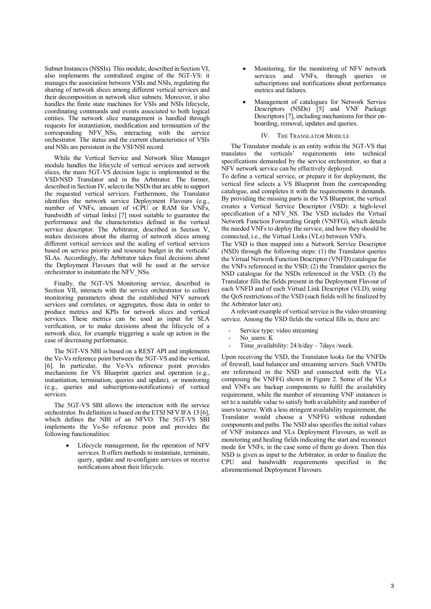Subnet Instances (NSSIs). This module, described in Section VI, also implements the centralized engine of the 5GT-VS: it manages the association between VSIs and NSIs, regulating the sharing of network slices among different vertical services and their decomposition in network slice subnets. Moreover, it also handles the finite state machines for VSIs and NSIs lifecycle, coordinating commands and events associated to both logical entities. The network slice management is handled through requests for instantiation, modification and termination of the corresponding NFV NSs, interacting with the service orchestrator. The status and the current characteristics of VSIs and NSIs are persistent in the VSI/NSI record.

While the Vertical Service and Network Slice Manager module handles the lifecycle of vertical services and network slices, the main 5GT-VS decision logic is implemented in the VSD/NSD Translator and in the Arbitrator. The former, described in Section IV, selects the NSDs that are able to support the requested vertical services. Furthermore, the Translator identifies the network service Deployment Flavours (e.g., number of VNFs, amount of vCPU or RAM for VNFs, bandwidth of virtual links) [7] most suitable to guarantee the performance and the characteristics defined in the vertical service descriptor. The Arbitrator, described in Section V, makes decisions about the sharing of network slices among different vertical services and the scaling of vertical services based on service priority and resource budget in the verticals' SLAs. Accordingly, the Arbitrator takes final decisions about the Deployment Flavours that will be used at the service orchestrator to instantiate the NFV\_NSs.

Finally, the 5GT-VS Monitoring service, described in Section VII, interacts with the service orchestrator to collect monitoring parameters about the established NFV network services and correlates, or aggregates, these data in order to produce metrics and KPIs for network slices and vertical services. These metrics can be used as input for SLA verification, or to make decisions about the lifecycle of a network slice, for example triggering a scale up action in the case of decreasing performance.

The 5GT-VS NBI is based on a REST API and implements the Ve-Vs reference point between the 5GT-VS and the vertical, [6]. In particular, the Ve-Vs reference point provides mechanisms for VS Blueprint queries and operation (e.g., instantiation, termination, queries and update), or monitoring (e.g., queries and subscriptions-notifications) of vertical services.

The 5GT-VS SBI allows the interaction with the service orchestrator. Its definition is based on the ETSI NFV IFA 13 [6], which defines the NBI of an NFVO. The 5GT-VS SBI implements the Vs-So reference point and provides the following functionalities:

> Lifecycle management, for the operation of NFV services. It offers methods to instantiate, terminate, query, update and re-configure services or receive notifications about their lifecycle.

- Monitoring, for the monitoring of NFV network services and VNFs, through queries or subscriptions and notifications about performance metrics and failures.
- Management of catalogues for Network Service Descriptors (NSDs) [5] and VNF Package Descriptors [7], including mechanisms for their onboarding, removal, updates and queries.

## IV. THE TRANSLATOR MODULE

The Translator module is an entity within the 5GT-VS that translates the verticals' requirements into technical specifications demanded by the service orchestrator, so that a NFV network service can be effectively deployed.

To define a vertical service, or prepare it for deployment, the vertical first selects a VS Blueprint from the corresponding catalogue, and completes it with the requirements it demands. By providing the missing parts in the VS Blueprint, the vertical creates a Vertical Service Descriptor (VSD): a high-level specification of a NFV\_NS. The VSD includes the Virtual Network Function Forwarding Graph (VNFFG), which details the needed VNFs to deploy the service, and how they should be connected, i.e., the Virtual Links (VLs) between VNFs.

The VSD is then mapped into a Network Service Descriptor (NSD) through the following steps: (1) the Translator queries the Virtual Network Function Descriptor (VNFD) catalogue for the VNFs referenced in the VSD;  $(2)$  the Translator queries the NSD catalogue for the NSDs referenced in the VSD; (3) the Translator fills the fields present in the Deployment Flavour of each VNFD and of each Virtual Link Descriptor (VLD), using the QoS restrictions of the VSD (such fields will be finalized by the Arbitrator later on).

A relevant example of vertical service is the video streaming service. Among the VSD fields the vertical fills in, there are:

- Service type: video streaming
- No\_users: K
- Time\_availability: 24 h/day 7days /week.

Upon receiving the VSD, the Translator looks for the VNFDs of firewall, load balancer and streaming servers. Such VNFDs are referenced in the NSD and connected with the VLs composing the VNFFG shown in Figure 2. Some of the VLs and VNFs are backup components to fulfil the availability requirement, while the number of streaming VNF instances is set to a suitable value to satisfy both availability and number of users to serve. With a less stringent availability requirement, the Translator would choose a VNFFG without redundant components and paths. The NSD also specifies the initial values of VNF instances and VLs Deployment Flavours, as well as monitoring and healing fields indicating the start and reconnect mode for VNFs, in the case some of them go down. Then this NSD is given as input to the Arbitrator, in order to finalize the CPU and bandwidth requirements specified in the aforementioned Deployment Flavours.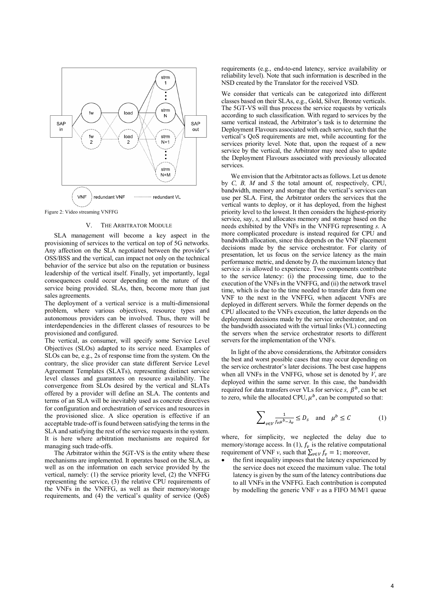

Figure 2: Video streaming VNFFG

## V. THE ARBITRATOR MODULE

SLA management will become a key aspect in the provisioning of services to the vertical on top of 5G networks. Any affection on the SLA negotiated between the provider's OSS/BSS and the vertical, can impact not only on the technical behavior of the service but also on the reputation or business leadership of the vertical itself. Finally, yet importantly, legal consequences could occur depending on the nature of the service being provided. SLAs, then, become more than just sales agreements.

The deployment of a vertical service is a multi-dimensional problem, where various objectives, resource types and autonomous providers can be involved. Thus, there will be interdependencies in the different classes of resources to be provisioned and configured.

The vertical, as consumer, will specify some Service Level Objectives (SLOs) adapted to its service need. Examples of SLOs can be, e.g., 2s of response time from the system. On the contrary, the slice provider can state different Service Level Agreement Templates (SLATs), representing distinct service level classes and guarantees on resource availability. The convergence from SLOs desired by the vertical and SLATs offered by a provider will define an SLA. The contents and terms of an SLA will be inevitably used as concrete directives for configuration and orchestration of services and resources in the provisioned slice. A slice operation is effective if an acceptable trade-off is found between satisfying the terms in the SLA and satisfying the rest of the service requests in the system. It is here where arbitration mechanisms are required for managing such trade-offs.

The Arbitrator within the 5GT-VS is the entity where these mechanisms are implemented. It operates based on the SLA, as well as on the information on each service provided by the vertical, namely: (1) the service priority level, (2) the VNFFG representing the service, (3) the relative CPU requirements of the VNFs in the VNFFG, as well as their memory/storage requirements, and (4) the vertical's quality of service  $(QoS)$ 

requirements (e.g., end-to-end latency, service availability or reliability level). Note that such information is described in the NSD created by the Translator for the received VSD.

We consider that verticals can be categorized into different classes based on their SLAs, e.g., Gold, Silver, Bronze verticals. The 5GT-VS will thus process the service requests by verticals according to such classification. With regard to services by the same vertical instead, the Arbitrator's task is to determine the Deployment Flavours associated with each service, such that the vertical's QoS requirements are met, while accounting for the services priority level. Note that, upon the request of a new service by the vertical, the Arbitrator may need also to update the Deployment Flavours associated with previously allocated services.

We envision that the Arbitrator acts as follows. Let us denote by C, B, M and S the total amount of, respectively, CPU, bandwidth, memory and storage that the vertical's services can use per SLA. First, the Arbitrator orders the services that the vertical wants to deploy, or it has deployed, from the highest priority level to the lowest. It then considers the highest-priority service, say, s, and allocates memory and storage based on the needs exhibited by the VNFs in the VNFFG representing s. A more complicated procedure is instead required for CPU and bandwidth allocation, since this depends on the VNF placement decisions made by the service orchestrator. For clarity of presentation, let us focus on the service latency as the main performance metric, and denote by  $D_s$  the maximum latency that service s is allowed to experience. Two components contribute to the service latency: (i) the processing time, due to the execution of the VNFs in the VNFFG, and (ii) the network travel time, which is due to the time needed to transfer data from one VNF to the next in the VNFFG, when adjacent VNFs are deployed in different servers. While the former depends on the CPU allocated to the VNFs execution, the latter depends on the deployment decisions made by the service orchestrator, and on the bandwidth associated with the virtual links (VL) connecting the servers when the service orchestrator resorts to different servers for the implementation of the VNFs.

In light of the above considerations, the Arbitrator considers the best and worst possible cases that may occur depending on the service orchestrator's later decisions. The best case happens when all VNFs in the VNFFG, whose set is denoted by  $V$ , are deployed within the same server. In this case, the bandwidth required for data transfers over VLs for service s,  $\beta^b$ , can be set to zero, while the allocated CPU,  $\mu^b$ , can be computed so that:

$$
\sum_{v \in V} \frac{1}{f_v \mu^b - \lambda_v} \le D_s \quad \text{and} \quad \mu^b \le C \tag{1}
$$

where, for simplicity, we neglected the delay due to memory/storage access. In (1),  $f_v$  is the relative computational requirement of VNF v, such that  $\sum_{v \in V} f_v = 1$ ; moreover,

• the first inequality imposes that the latency experienced by the service does not exceed the maximum value. The total latency is given by the sum of the latency contributions due to all VNFs in the VNFFG. Each contribution is computed by modelling the generic VNF  $v$  as a FIFO M/M/1 queue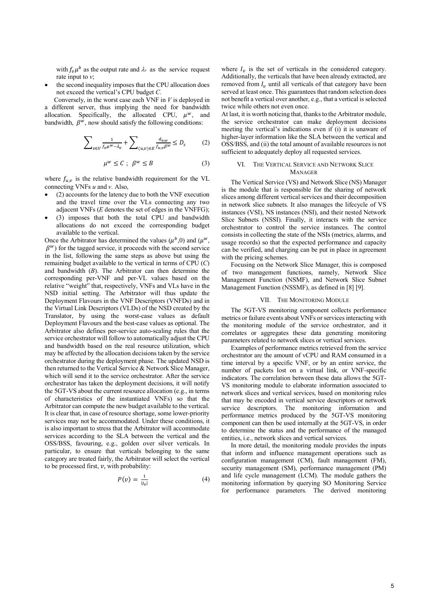with  $f_v \mu^b$  as the output rate and  $\lambda_v$  as the service request rate input to  $v$ ;

the second inequality imposes that the CPU allocation does not exceed the vertical's CPU budget C.

Conversely, in the worst case each  $VNF$  in  $V$  is deployed in a different server, thus implying the need for bandwidth allocation. Specifically, the allocated CPU,  $\mu^w$ , and bandwidth,  $\beta^w$ , now should satisfy the following conditions:

$$
\sum\nolimits_{\nu\in V}\frac{1}{f_\nu\mu^{w}-\lambda_\nu}+\sum\nolimits_{(u,v)\in E}\frac{d_{v,w}}{f_{u,v}\beta^{w}}\le D_s\qquad \quad (2)
$$

$$
\mu^w \le C \; ; \; \beta^w \le B \tag{3}
$$

where  $f_{\mu,\nu}$  is the relative bandwidth requirement for the VL connecting VNFs  $u$  and  $v$ . Also,

- (2) accounts for the latency due to both the VNF execution and the travel time over the VLs connecting any two adjacent VNFs  $(E$  denotes the set of edges in the VNFFG);
- (3) imposes that both the total CPU and bandwidth allocations do not exceed the corresponding budget available to the vertical.

Once the Arbitrator has determined the values ( $\mu^{b}$ ,0) and ( $\mu^{w}$ ,  $\beta^{w}$ ) for the tagged service, it proceeds with the second service in the list, following the same steps as above but using the remaining budget available to the vertical in terms of CPU (C) and bandwidth  $(B)$ . The Arbitrator can then determine the corresponding per-VNF and per-VL values based on the relative "weight" that, respectively, VNFs and VLs have in the NSD initial setting. The Arbitrator will thus update the Deployment Flavours in the VNF Descriptors (VNFDs) and in the Virtual Link Descriptors (VLDs) of the NSD created by the Translator, by using the worst-case values as default Deployment Flavours and the best-case values as optional. The Arbitrator also defines per-service auto-scaling rules that the service orchestrator will follow to automatically adjust the CPU and bandwidth based on the real resource utilization, which may be affected by the allocation decisions taken by the service orchestrator during the deployment phase. The updated NSD is then returned to the Vertical Service & Network Slice Manager, which will send it to the service orchestrator. After the service orchestrator has taken the deployment decisions, it will notify the 5GT-VS about the current resource allocation (e.g., in terms of characteristics of the instantiated VNFs) so that the Arbitrator can compute the new budget available to the vertical. It is clear that, in case of resource shortage, some lower-priority services may not be accommodated. Under these conditions, it is also important to stress that the Arbitrator will accommodate services according to the SLA between the vertical and the OSS/BSS, favouring, e.g., golden over silver verticals. In particular, to ensure that verticals belonging to the same category are treated fairly, the Arbitrator will select the vertical to be processed first,  $\nu$ , with probability:

$$
P(v) = \frac{1}{|I_v|} \tag{4}
$$

where  $I_n$  is the set of verticals in the considered category. Additionally, the verticals that have been already extracted, are removed from  $I_n$  until all verticals of that category have been served at least once. This guarantees that random selection does not benefit a vertical over another, e.g., that a vertical is selected twice while others not even once.

At last, it is worth noticing that, thanks to the Arbitrator module, the service orchestrator can make deployment decisions meeting the vertical's indications even if (i) it is unaware of higher-layer information like the SLA between the vertical and OSS/BSS, and (ii) the total amount of available resources is not sufficient to adequately deploy all requested services.

# VI. THE VERTICAL SERVICE AND NETWORK SLICE **MANAGER**

The Vertical Service (VS) and Network Slice (NS) Manager is the module that is responsible for the sharing of network slices among different vertical services and their decomposition in network slice subnets. It also manages the lifecycle of VS instances (VSI), NS instances (NSI), and their nested Network Slice Subnets (NSSI). Finally, it interacts with the service orchestrator to control the service instances. The control consists in collecting the state of the NSIs (metrics, alarms, and usage records) so that the expected performance and capacity can be verified, and charging can be put in place in agreement with the pricing schemes.

Focusing on the Network Slice Manager, this is composed of two management functions, namely, Network Slice Management Function (NSMF), and Network Slice Subnet Management Function (NSSMF), as defined in [8] [9].

## VII. THE MONITORING MODULE

The 5GT-VS monitoring component collects performance metrics or failure events about VNFs or services interacting with the monitoring module of the service orchestrator, and it correlates or aggregates these data generating monitoring parameters related to network slices or vertical services.

Examples of performance metrics retrieved from the service orchestrator are the amount of vCPU and RAM consumed in a time interval by a specific VNF, or by an entire service, the number of packets lost on a virtual link, or VNF-specific indicators. The correlation between these data allows the 5GT-VS monitoring module to elaborate information associated to network slices and vertical services, based on monitoring rules that may be encoded in vertical service descriptors or network service descriptors. The monitoring information and performance metrics produced by the 5GT-VS monitoring component can then be used internally at the 5GT-VS, in order to determine the status and the performance of the managed entities, i.e., network slices and vertical services.

In more detail, the monitoring module provides the inputs that inform and influence management operations such as configuration management (CM), fault management (FM), security management (SM), performance management (PM) and life cycle management (LCM). The module gathers the monitoring information by querying SO Monitoring Service for performance parameters. The derived monitoring